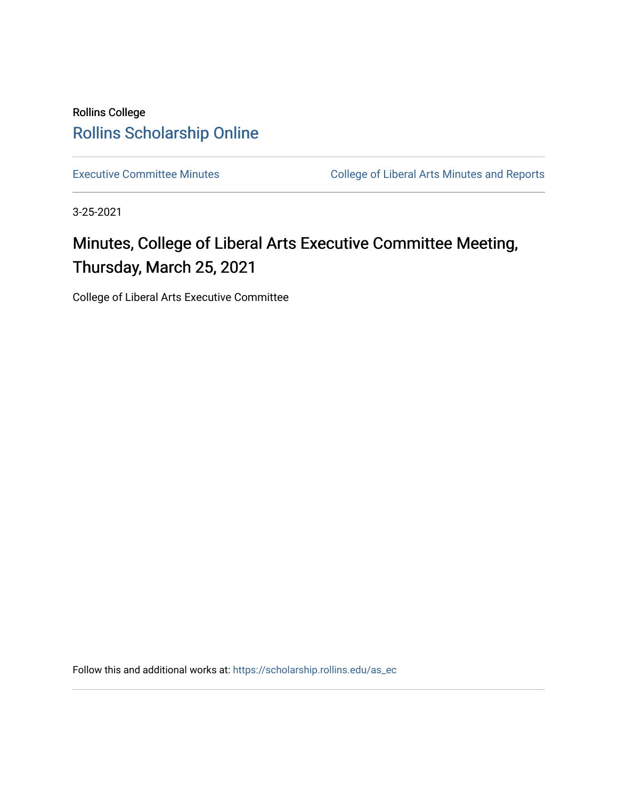# Rollins College [Rollins Scholarship Online](https://scholarship.rollins.edu/)

[Executive Committee Minutes](https://scholarship.rollins.edu/as_ec) **College of Liberal Arts Minutes and Reports** 

3-25-2021

# Minutes, College of Liberal Arts Executive Committee Meeting, Thursday, March 25, 2021

College of Liberal Arts Executive Committee

Follow this and additional works at: [https://scholarship.rollins.edu/as\\_ec](https://scholarship.rollins.edu/as_ec?utm_source=scholarship.rollins.edu%2Fas_ec%2F225&utm_medium=PDF&utm_campaign=PDFCoverPages)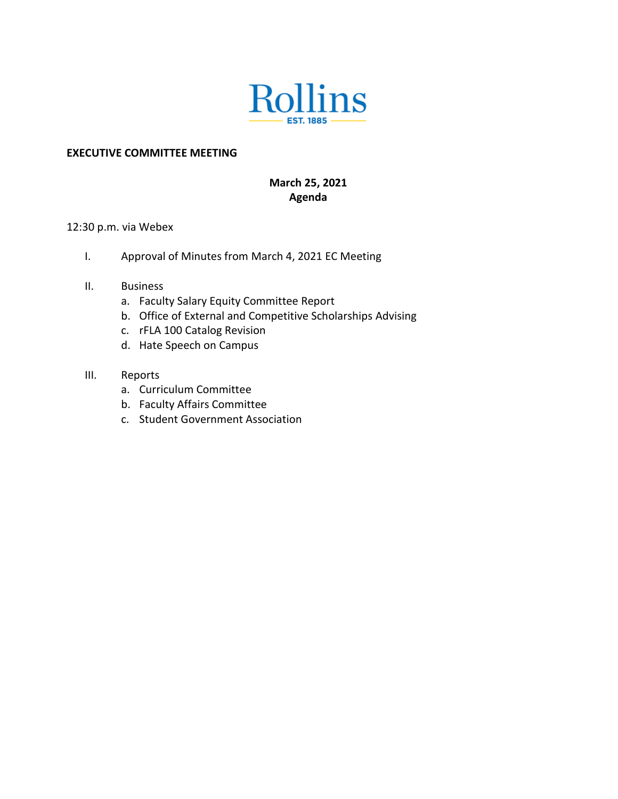

## **EXECUTIVE COMMITTEE MEETING**

## **March 25, 2021 Agenda**

#### 12:30 p.m. via Webex

- I. Approval of Minutes from March 4, 2021 EC Meeting
- II. Business
	- a. Faculty Salary Equity Committee Report
	- b. Office of External and Competitive Scholarships Advising
	- c. rFLA 100 Catalog Revision
	- d. Hate Speech on Campus
- III. Reports
	- a. Curriculum Committee
	- b. Faculty Affairs Committee
	- c. Student Government Association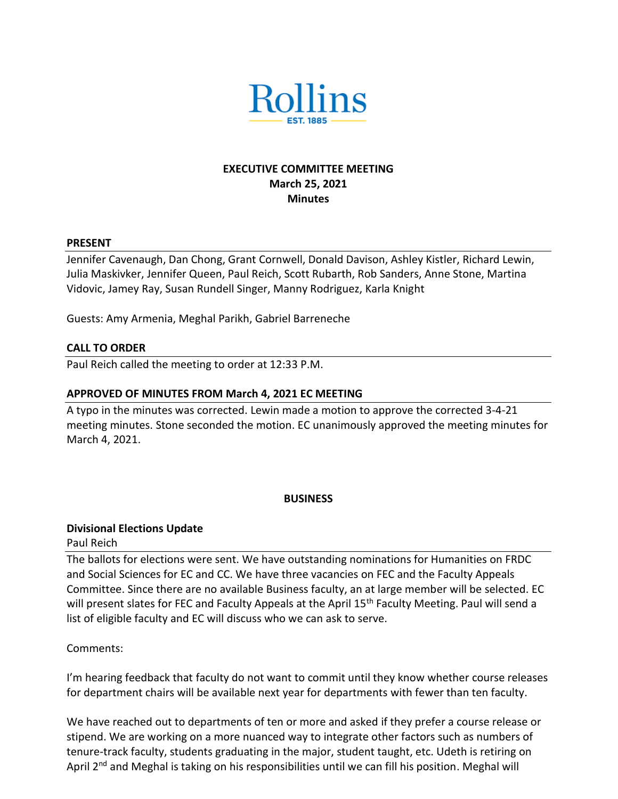

## **EXECUTIVE COMMITTEE MEETING March 25, 2021 Minutes**

#### **PRESENT**

Jennifer Cavenaugh, Dan Chong, Grant Cornwell, Donald Davison, Ashley Kistler, Richard Lewin, Julia Maskivker, Jennifer Queen, Paul Reich, Scott Rubarth, Rob Sanders, Anne Stone, Martina Vidovic, Jamey Ray, Susan Rundell Singer, Manny Rodriguez, Karla Knight

Guests: Amy Armenia, Meghal Parikh, Gabriel Barreneche

#### **CALL TO ORDER**

Paul Reich called the meeting to order at 12:33 P.M.

## **APPROVED OF MINUTES FROM March 4, 2021 EC MEETING**

A typo in the minutes was corrected. Lewin made a motion to approve the corrected 3-4-21 meeting minutes. Stone seconded the motion. EC unanimously approved the meeting minutes for March 4, 2021.

#### **BUSINESS**

## **Divisional Elections Update**

Paul Reich

The ballots for elections were sent. We have outstanding nominations for Humanities on FRDC and Social Sciences for EC and CC. We have three vacancies on FEC and the Faculty Appeals Committee. Since there are no available Business faculty, an at large member will be selected. EC will present slates for FEC and Faculty Appeals at the April 15<sup>th</sup> Faculty Meeting. Paul will send a list of eligible faculty and EC will discuss who we can ask to serve.

## Comments:

I'm hearing feedback that faculty do not want to commit until they know whether course releases for department chairs will be available next year for departments with fewer than ten faculty.

We have reached out to departments of ten or more and asked if they prefer a course release or stipend. We are working on a more nuanced way to integrate other factors such as numbers of tenure-track faculty, students graduating in the major, student taught, etc. Udeth is retiring on April 2<sup>nd</sup> and Meghal is taking on his responsibilities until we can fill his position. Meghal will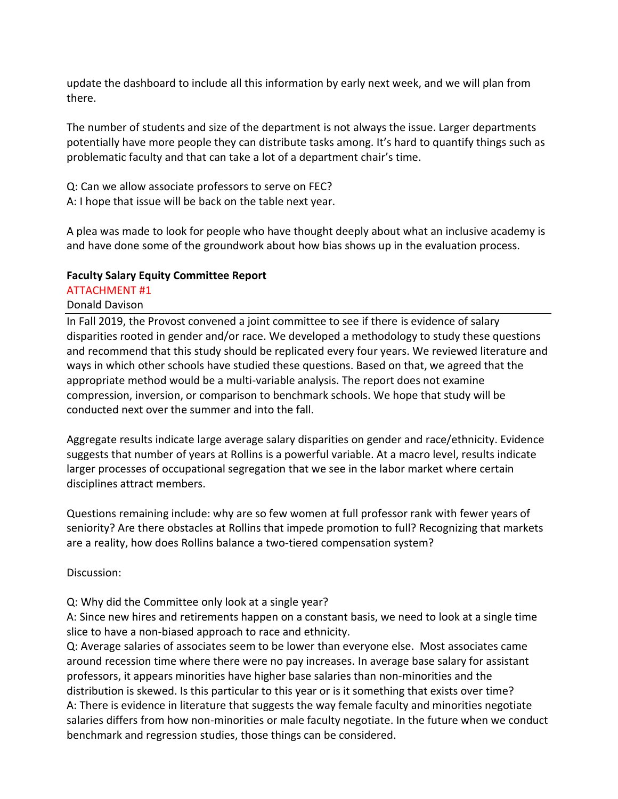update the dashboard to include all this information by early next week, and we will plan from there.

The number of students and size of the department is not always the issue. Larger departments potentially have more people they can distribute tasks among. It's hard to quantify things such as problematic faculty and that can take a lot of a department chair's time.

Q: Can we allow associate professors to serve on FEC? A: I hope that issue will be back on the table next year.

A plea was made to look for people who have thought deeply about what an inclusive academy is and have done some of the groundwork about how bias shows up in the evaluation process.

## **Faculty Salary Equity Committee Report**

# ATTACHMENT #1

# Donald Davison

In Fall 2019, the Provost convened a joint committee to see if there is evidence of salary disparities rooted in gender and/or race. We developed a methodology to study these questions and recommend that this study should be replicated every four years. We reviewed literature and ways in which other schools have studied these questions. Based on that, we agreed that the appropriate method would be a multi-variable analysis. The report does not examine compression, inversion, or comparison to benchmark schools. We hope that study will be conducted next over the summer and into the fall.

Aggregate results indicate large average salary disparities on gender and race/ethnicity. Evidence suggests that number of years at Rollins is a powerful variable. At a macro level, results indicate larger processes of occupational segregation that we see in the labor market where certain disciplines attract members.

Questions remaining include: why are so few women at full professor rank with fewer years of seniority? Are there obstacles at Rollins that impede promotion to full? Recognizing that markets are a reality, how does Rollins balance a two-tiered compensation system?

Discussion:

Q: Why did the Committee only look at a single year?

A: Since new hires and retirements happen on a constant basis, we need to look at a single time slice to have a non-biased approach to race and ethnicity.

Q: Average salaries of associates seem to be lower than everyone else. Most associates came around recession time where there were no pay increases. In average base salary for assistant professors, it appears minorities have higher base salaries than non-minorities and the distribution is skewed. Is this particular to this year or is it something that exists over time? A: There is evidence in literature that suggests the way female faculty and minorities negotiate salaries differs from how non-minorities or male faculty negotiate. In the future when we conduct benchmark and regression studies, those things can be considered.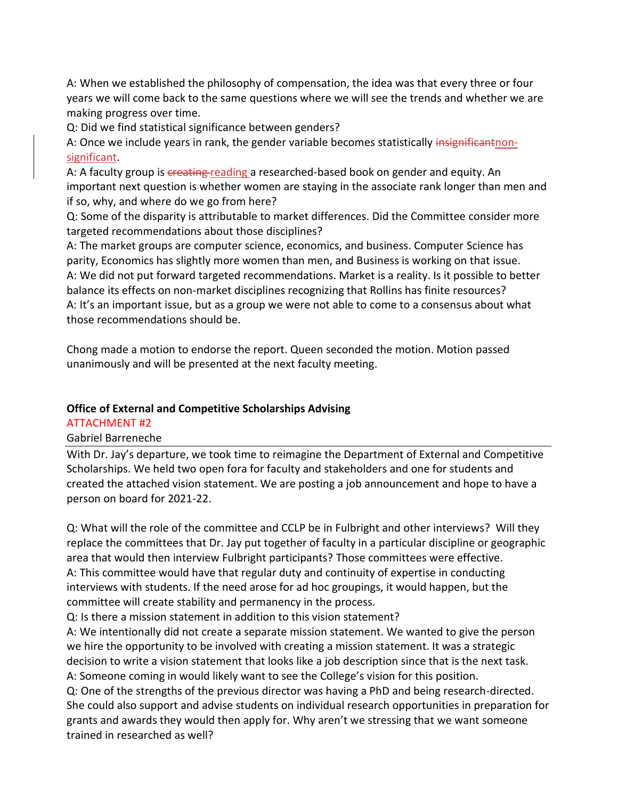A: When we established the philosophy of compensation, the idea was that every three or four years we will come back to the same questions where we will see the trends and whether we are making progress over time.

Q: Did we find statistical significance between genders?

A: Once we include years in rank, the gender variable becomes statistically insignificant nonsignificant.

A: A faculty group is creating reading a researched-based book on gender and equity. An important next question is whether women are staying in the associate rank longer than men and if so, why, and where do we go from here?

Q: Some of the disparity is attributable to market differences. Did the Committee consider more targeted recommendations about those disciplines?

A: The market groups are computer science, economics, and business. Computer Science has parity, Economics has slightly more women than men, and Business is working on that issue. A: We did not put forward targeted recommendations. Market is a reality. Is it possible to better balance its effects on non-market disciplines recognizing that Rollins has finite resources? A: It's an important issue, but as a group we were not able to come to a consensus about what those recommendations should be.

Chong made a motion to endorse the report. Queen seconded the motion. Motion passed unanimously and will be presented at the next faculty meeting.

## **Office of External and Competitive Scholarships Advising**

## ATTACHMENT #2

Gabriel Barreneche

With Dr. Jay's departure, we took time to reimagine the Department of External and Competitive Scholarships. We held two open fora for faculty and stakeholders and one for students and created the attached vision statement. We are posting a job announcement and hope to have a person on board for 2021-22.

Q: What will the role of the committee and CCLP be in Fulbright and other interviews? Will they replace the committees that Dr. Jay put together of faculty in a particular discipline or geographic area that would then interview Fulbright participants? Those committees were effective. A: This committee would have that regular duty and continuity of expertise in conducting interviews with students. If the need arose for ad hoc groupings, it would happen, but the committee will create stability and permanency in the process.

Q: Is there a mission statement in addition to this vision statement?

A: We intentionally did not create a separate mission statement. We wanted to give the person we hire the opportunity to be involved with creating a mission statement. It was a strategic decision to write a vision statement that looks like a job description since that is the next task. A: Someone coming in would likely want to see the College's vision for this position.

Q: One of the strengths of the previous director was having a PhD and being research-directed. She could also support and advise students on individual research opportunities in preparation for grants and awards they would then apply for. Why aren't we stressing that we want someone trained in researched as well?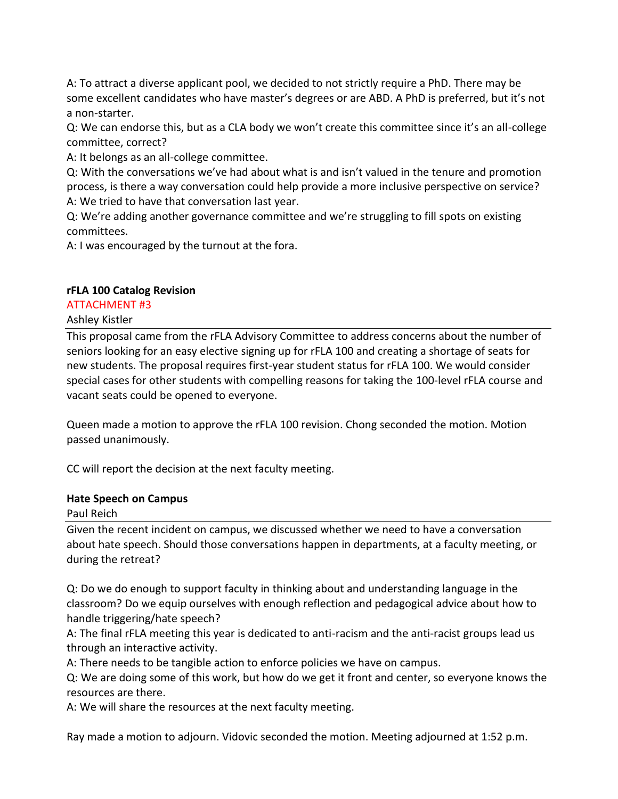A: To attract a diverse applicant pool, we decided to not strictly require a PhD. There may be some excellent candidates who have master's degrees or are ABD. A PhD is preferred, but it's not a non-starter.

Q: We can endorse this, but as a CLA body we won't create this committee since it's an all-college committee, correct?

A: It belongs as an all-college committee.

Q: With the conversations we've had about what is and isn't valued in the tenure and promotion process, is there a way conversation could help provide a more inclusive perspective on service? A: We tried to have that conversation last year.

Q: We're adding another governance committee and we're struggling to fill spots on existing committees.

A: I was encouraged by the turnout at the fora.

## **rFLA 100 Catalog Revision**

## ATTACHMENT #3

## Ashley Kistler

This proposal came from the rFLA Advisory Committee to address concerns about the number of seniors looking for an easy elective signing up for rFLA 100 and creating a shortage of seats for new students. The proposal requires first-year student status for rFLA 100. We would consider special cases for other students with compelling reasons for taking the 100-level rFLA course and vacant seats could be opened to everyone.

Queen made a motion to approve the rFLA 100 revision. Chong seconded the motion. Motion passed unanimously.

CC will report the decision at the next faculty meeting.

## **Hate Speech on Campus**

Paul Reich

Given the recent incident on campus, we discussed whether we need to have a conversation about hate speech. Should those conversations happen in departments, at a faculty meeting, or during the retreat?

Q: Do we do enough to support faculty in thinking about and understanding language in the classroom? Do we equip ourselves with enough reflection and pedagogical advice about how to handle triggering/hate speech?

A: The final rFLA meeting this year is dedicated to anti-racism and the anti-racist groups lead us through an interactive activity.

A: There needs to be tangible action to enforce policies we have on campus.

Q: We are doing some of this work, but how do we get it front and center, so everyone knows the resources are there.

A: We will share the resources at the next faculty meeting.

Ray made a motion to adjourn. Vidovic seconded the motion. Meeting adjourned at 1:52 p.m.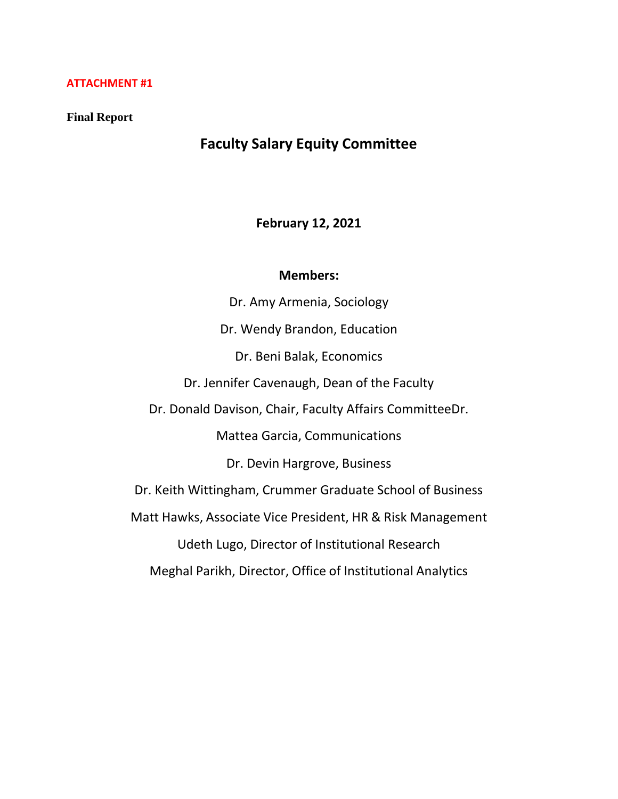#### **ATTACHMENT #1**

#### **Final Report**

# **Faculty Salary Equity Committee**

## **February 12, 2021**

#### **Members:**

Dr. Amy Armenia, Sociology Dr. Wendy Brandon, Education Dr. Beni Balak, Economics Dr. Jennifer Cavenaugh, Dean of the Faculty Dr. Donald Davison, Chair, Faculty Affairs CommitteeDr. Mattea Garcia, Communications Dr. Devin Hargrove, Business Dr. Keith Wittingham, Crummer Graduate School of Business Matt Hawks, Associate Vice President, HR & Risk Management Udeth Lugo, Director of Institutional Research Meghal Parikh, Director, Office of Institutional Analytics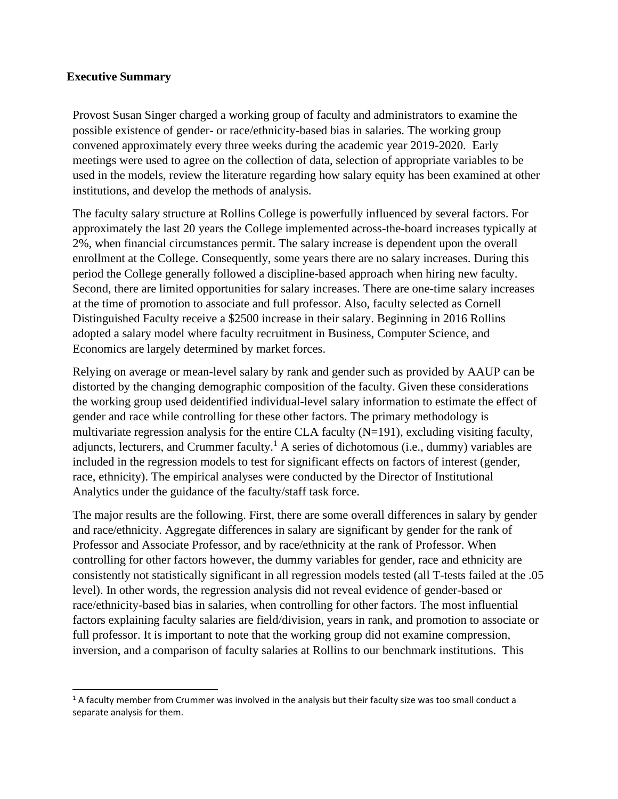## **Executive Summary**

Provost Susan Singer charged a working group of faculty and administrators to examine the possible existence of gender- or race/ethnicity-based bias in salaries. The working group convened approximately every three weeks during the academic year 2019-2020. Early meetings were used to agree on the collection of data, selection of appropriate variables to be used in the models, review the literature regarding how salary equity has been examined at other institutions, and develop the methods of analysis.

The faculty salary structure at Rollins College is powerfully influenced by several factors. For approximately the last 20 years the College implemented across-the-board increases typically at 2%, when financial circumstances permit. The salary increase is dependent upon the overall enrollment at the College. Consequently, some years there are no salary increases. During this period the College generally followed a discipline-based approach when hiring new faculty. Second, there are limited opportunities for salary increases. There are one-time salary increases at the time of promotion to associate and full professor. Also, faculty selected as Cornell Distinguished Faculty receive a \$2500 increase in their salary. Beginning in 2016 Rollins adopted a salary model where faculty recruitment in Business, Computer Science, and Economics are largely determined by market forces.

Relying on average or mean-level salary by rank and gender such as provided by AAUP can be distorted by the changing demographic composition of the faculty. Given these considerations the working group used deidentified individual-level salary information to estimate the effect of gender and race while controlling for these other factors. The primary methodology is multivariate regression analysis for the entire CLA faculty (N=191), excluding visiting faculty, adjuncts, lecturers, and Crummer faculty.<sup>1</sup> A series of dichotomous (i.e., dummy) variables are included in the regression models to test for significant effects on factors of interest (gender, race, ethnicity). The empirical analyses were conducted by the Director of Institutional Analytics under the guidance of the faculty/staff task force.

The major results are the following. First, there are some overall differences in salary by gender and race/ethnicity. Aggregate differences in salary are significant by gender for the rank of Professor and Associate Professor, and by race/ethnicity at the rank of Professor. When controlling for other factors however, the dummy variables for gender, race and ethnicity are consistently not statistically significant in all regression models tested (all T-tests failed at the .05 level). In other words, the regression analysis did not reveal evidence of gender-based or race/ethnicity-based bias in salaries, when controlling for other factors. The most influential factors explaining faculty salaries are field/division, years in rank, and promotion to associate or full professor. It is important to note that the working group did not examine compression, inversion, and a comparison of faculty salaries at Rollins to our benchmark institutions. This

 $1A$  faculty member from Crummer was involved in the analysis but their faculty size was too small conduct a separate analysis for them.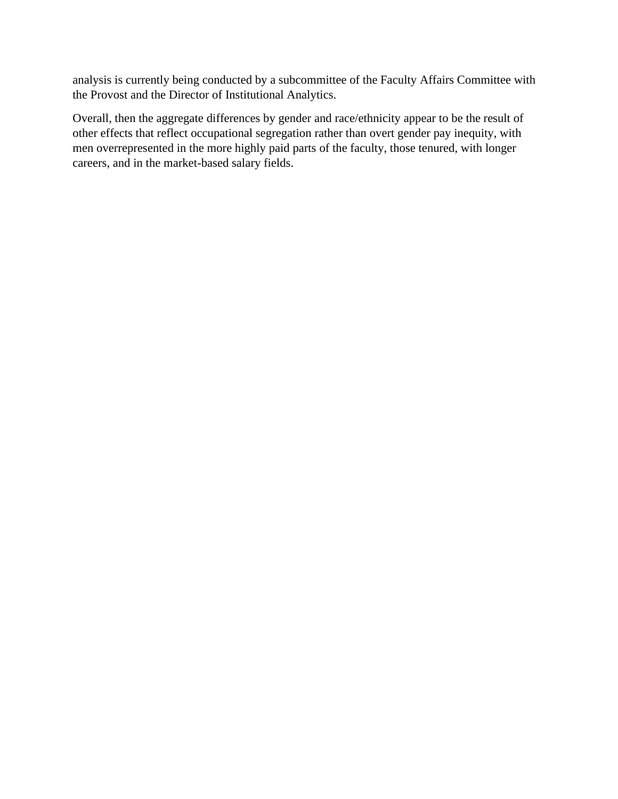analysis is currently being conducted by a subcommittee of the Faculty Affairs Committee with the Provost and the Director of Institutional Analytics.

Overall, then the aggregate differences by gender and race/ethnicity appear to be the result of other effects that reflect occupational segregation rather than overt gender pay inequity, with men overrepresented in the more highly paid parts of the faculty, those tenured, with longer careers, and in the market-based salary fields.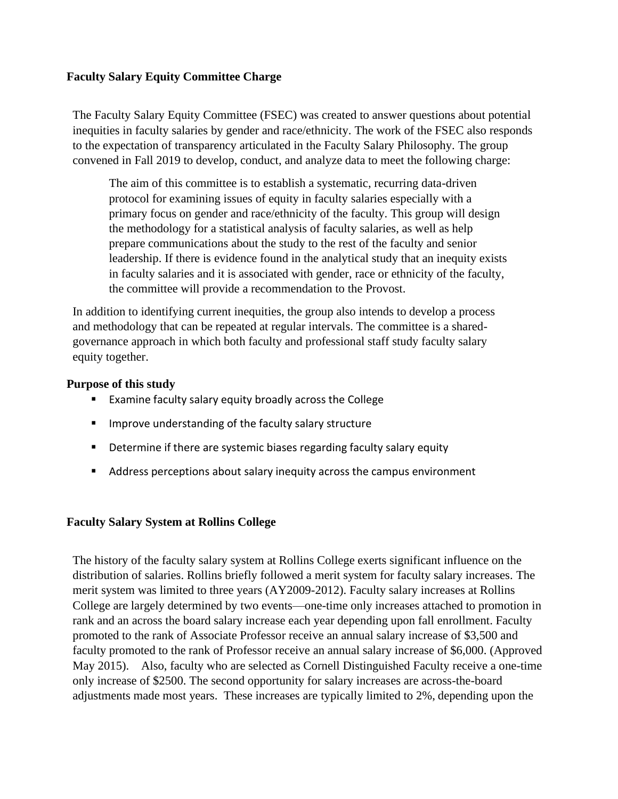## **Faculty Salary Equity Committee Charge**

The Faculty Salary Equity Committee (FSEC) was created to answer questions about potential inequities in faculty salaries by gender and race/ethnicity. The work of the FSEC also responds to the expectation of transparency articulated in the Faculty Salary Philosophy. The group convened in Fall 2019 to develop, conduct, and analyze data to meet the following charge:

The aim of this committee is to establish a systematic, recurring data-driven protocol for examining issues of equity in faculty salaries especially with a primary focus on gender and race/ethnicity of the faculty. This group will design the methodology for a statistical analysis of faculty salaries, as well as help prepare communications about the study to the rest of the faculty and senior leadership. If there is evidence found in the analytical study that an inequity exists in faculty salaries and it is associated with gender, race or ethnicity of the faculty, the committee will provide a recommendation to the Provost.

In addition to identifying current inequities, the group also intends to develop a process and methodology that can be repeated at regular intervals. The committee is a sharedgovernance approach in which both faculty and professional staff study faculty salary equity together.

## **Purpose of this study**

- Examine faculty salary equity broadly across the College
- Improve understanding of the faculty salary structure
- Determine if there are systemic biases regarding faculty salary equity
- Address perceptions about salary inequity across the campus environment

## **Faculty Salary System at Rollins College**

The history of the faculty salary system at Rollins College exerts significant influence on the distribution of salaries. Rollins briefly followed a merit system for faculty salary increases. The merit system was limited to three years (AY2009-2012). Faculty salary increases at Rollins College are largely determined by two events—one-time only increases attached to promotion in rank and an across the board salary increase each year depending upon fall enrollment. Faculty promoted to the rank of Associate Professor receive an annual salary increase of \$3,500 and faculty promoted to the rank of Professor receive an annual salary increase of \$6,000. (Approved May 2015). Also, faculty who are selected as Cornell Distinguished Faculty receive a one-time only increase of \$2500. The second opportunity for salary increases are across-the-board adjustments made most years. These increases are typically limited to 2%, depending upon the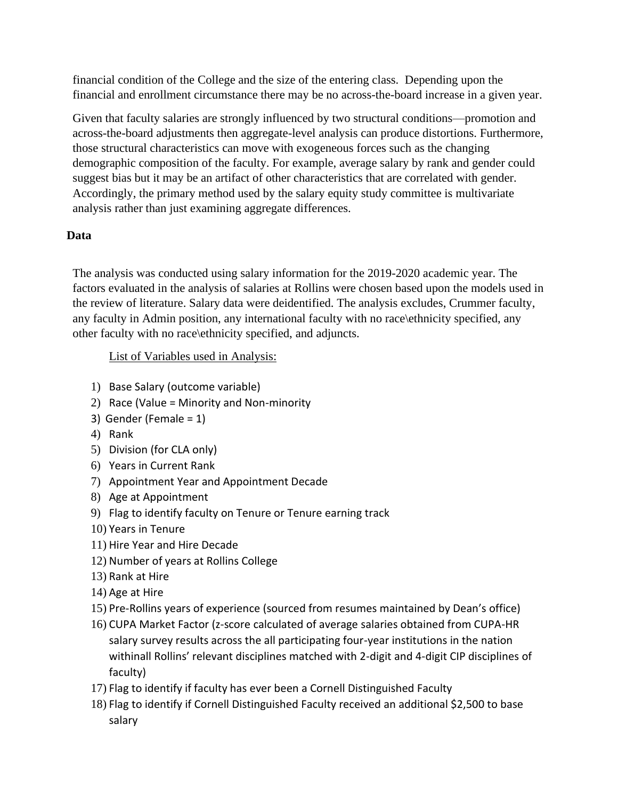financial condition of the College and the size of the entering class. Depending upon the financial and enrollment circumstance there may be no across-the-board increase in a given year.

Given that faculty salaries are strongly influenced by two structural conditions—promotion and across-the-board adjustments then aggregate-level analysis can produce distortions. Furthermore, those structural characteristics can move with exogeneous forces such as the changing demographic composition of the faculty. For example, average salary by rank and gender could suggest bias but it may be an artifact of other characteristics that are correlated with gender. Accordingly, the primary method used by the salary equity study committee is multivariate analysis rather than just examining aggregate differences.

# **Data**

The analysis was conducted using salary information for the 2019-2020 academic year. The factors evaluated in the analysis of salaries at Rollins were chosen based upon the models used in the review of literature. Salary data were deidentified. The analysis excludes, Crummer faculty, any faculty in Admin position, any international faculty with no race\ethnicity specified, any other faculty with no race\ethnicity specified, and adjuncts.

List of Variables used in Analysis:

- 1) Base Salary (outcome variable)
- 2) Race (Value = Minority and Non-minority
- 3) Gender (Female = 1)
- 4) Rank
- 5) Division (for CLA only)
- 6) Years in Current Rank
- 7) Appointment Year and Appointment Decade
- 8) Age at Appointment
- 9) Flag to identify faculty on Tenure or Tenure earning track
- 10) Years in Tenure
- 11) Hire Year and Hire Decade
- 12) Number of years at Rollins College
- 13) Rank at Hire
- 14) Age at Hire
- 15) Pre-Rollins years of experience (sourced from resumes maintained by Dean's office)
- 16) CUPA Market Factor (z-score calculated of average salaries obtained from CUPA-HR salary survey results across the all participating four-year institutions in the nation withinall Rollins' relevant disciplines matched with 2-digit and 4-digit CIP disciplines of faculty)
- 17) Flag to identify if faculty has ever been a Cornell Distinguished Faculty
- 18) Flag to identify if Cornell Distinguished Faculty received an additional \$2,500 to base salary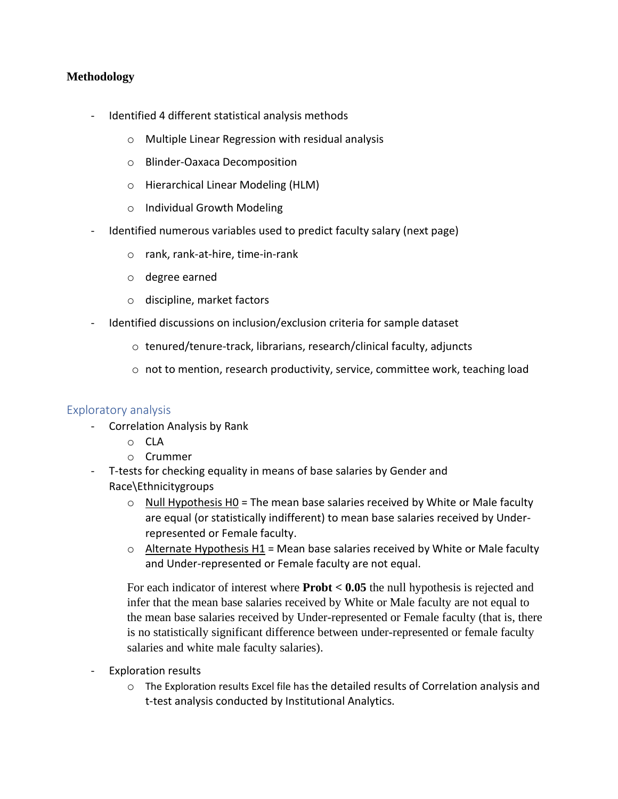## **Methodology**

- Identified 4 different statistical analysis methods
	- o Multiple Linear Regression with residual analysis
	- o Blinder-Oaxaca Decomposition
	- o Hierarchical Linear Modeling (HLM)
	- o Individual Growth Modeling
- Identified numerous variables used to predict faculty salary (next page)
	- o rank, rank-at-hire, time-in-rank
	- o degree earned
	- o discipline, market factors
- Identified discussions on inclusion/exclusion criteria for sample dataset
	- o tenured/tenure-track, librarians, research/clinical faculty, adjuncts
	- $\circ$  not to mention, research productivity, service, committee work, teaching load

## Exploratory analysis

- Correlation Analysis by Rank
	- o CLA
	- o Crummer
- T-tests for checking equality in means of base salaries by Gender and Race\Ethnicitygroups
	- $\circ$  Null Hypothesis H0 = The mean base salaries received by White or Male faculty are equal (or statistically indifferent) to mean base salaries received by Underrepresented or Female faculty.
	- $\circ$  Alternate Hypothesis H1 = Mean base salaries received by White or Male faculty and Under-represented or Female faculty are not equal.

For each indicator of interest where **Probt < 0.05** the null hypothesis is rejected and infer that the mean base salaries received by White or Male faculty are not equal to the mean base salaries received by Under-represented or Female faculty (that is, there is no statistically significant difference between under-represented or female faculty salaries and white male faculty salaries).

- Exploration results
	- $\circ$  The Exploration results Excel file has the detailed results of Correlation analysis and t-test analysis conducted by Institutional Analytics.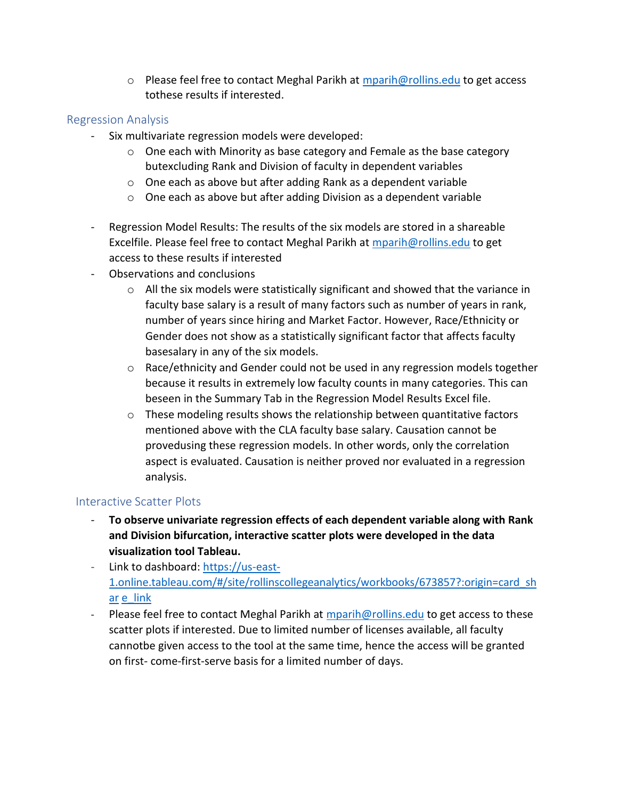$\circ$  Please feel free to contact Meghal Parikh at [mparih@rollins.edu](mailto:mparih@rollins.edu) to get access tothese results if interested.

## Regression Analysis

- Six multivariate regression models were developed:
	- $\circ$  One each with Minority as base category and Female as the base category butexcluding Rank and Division of faculty in dependent variables
	- o One each as above but after adding Rank as a dependent variable
	- o One each as above but after adding Division as a dependent variable
- Regression Model Results: The results of the six models are stored in a shareable Excelfile. Please feel free to contact Meghal Parikh at [mparih@rollins.edu](mailto:mparih@rollins.edu) to get access to these results if interested
- Observations and conclusions
	- $\circ$  All the six models were statistically significant and showed that the variance in faculty base salary is a result of many factors such as number of years in rank, number of years since hiring and Market Factor. However, Race/Ethnicity or Gender does not show as a statistically significant factor that affects faculty basesalary in any of the six models.
	- $\circ$  Race/ethnicity and Gender could not be used in any regression models together because it results in extremely low faculty counts in many categories. This can beseen in the Summary Tab in the Regression Model Results Excel file.
	- $\circ$  These modeling results shows the relationship between quantitative factors mentioned above with the CLA faculty base salary. Causation cannot be provedusing these regression models. In other words, only the correlation aspect is evaluated. Causation is neither proved nor evaluated in a regression analysis.

## Interactive Scatter Plots

- **To observe univariate regression effects of each dependent variable along with Rank and Division bifurcation, interactive scatter plots were developed in the data visualization tool Tableau.**
- Link to dashboard: [https://us-east-](https://us-east-1.online.tableau.com/%23/site/rollinscollegeanalytics/workbooks/673857?%3Aorigin=card_share_link)[1.online.tableau.com/#/site/rollinscollegeanalytics/workbooks/673857?:origin=card\\_sh](https://us-east-1.online.tableau.com/%23/site/rollinscollegeanalytics/workbooks/673857?%3Aorigin=card_share_link) [ar](https://us-east-1.online.tableau.com/%23/site/rollinscollegeanalytics/workbooks/673857?%3Aorigin=card_share_link) [e\\_link](https://us-east-1.online.tableau.com/%23/site/rollinscollegeanalytics/workbooks/673857?%3Aorigin=card_share_link)
- Please feel free to contact Meghal Parikh at [mparih@rollins.edu](mailto:mparih@rollins.edu) to get access to these scatter plots if interested. Due to limited number of licenses available, all faculty cannotbe given access to the tool at the same time, hence the access will be granted on first- come-first-serve basis for a limited number of days.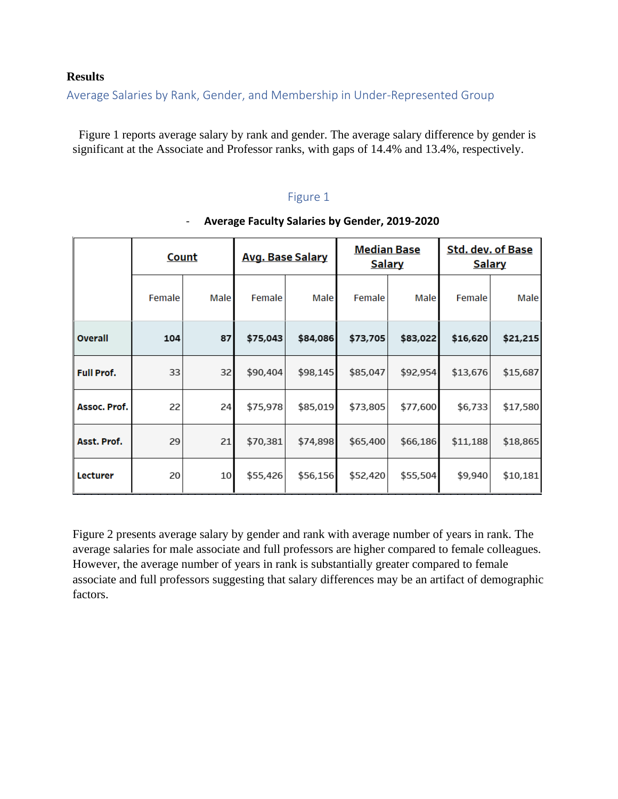#### **Results**

Average Salaries by Rank, Gender, and Membership in Under-Represented Group

Figure 1 reports average salary by rank and gender. The average salary difference by gender is significant at the Associate and Professor ranks, with gaps of 14.4% and 13.4%, respectively.

# Figure 1

|                   | <b>Count</b> |      | <b>Avg. Base Salary</b> |          | <b>Median Base</b><br><b>Salary</b> |          | <b>Std. dev. of Base</b><br><b>Salary</b> |          |
|-------------------|--------------|------|-------------------------|----------|-------------------------------------|----------|-------------------------------------------|----------|
|                   | Female       | Male | Female                  | Male     | Female                              | Male     | Female                                    | Male     |
| Overall           | 104          | 87   | \$75,043                | \$84,086 | \$73,705                            | \$83,022 | \$16,620                                  | \$21,215 |
| <b>Full Prof.</b> | 33           | 32   | \$90,404                | \$98,145 | \$85,047                            | \$92,954 | \$13,676                                  | \$15,687 |
| Assoc. Prof.      | 22           | 24   | \$75,978                | \$85,019 | \$73,805                            | \$77,600 | \$6,733                                   | \$17,580 |
| Asst. Prof.       | 29           | 21   | \$70,381                | \$74,898 | \$65,400                            | \$66,186 | \$11,188                                  | \$18,865 |
| Lecturer          | 20           | 10   | \$55,426                | \$56,156 | \$52,420                            | \$55,504 | \$9,940                                   | \$10,181 |

#### - **Average Faculty Salaries by Gender, 2019-2020**

Figure 2 presents average salary by gender and rank with average number of years in rank. The average salaries for male associate and full professors are higher compared to female colleagues. However, the average number of years in rank is substantially greater compared to female associate and full professors suggesting that salary differences may be an artifact of demographic factors.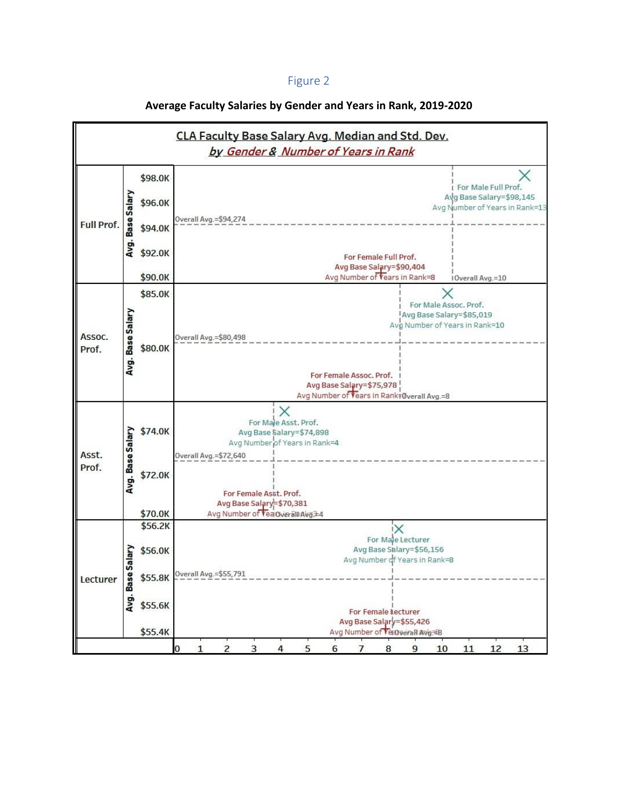# Figure 2

| CLA Faculty Base Salary Avg. Median and Std. Dev.<br>by Gender & Number of Years in Rank |                  |                    |                                                                       |  |  |  |  |
|------------------------------------------------------------------------------------------|------------------|--------------------|-----------------------------------------------------------------------|--|--|--|--|
| Full Prof.                                                                               |                  | \$98.0K            |                                                                       |  |  |  |  |
|                                                                                          | Avg. Base Salary | \$96.0K            | For Male Full Prof.<br>Avg Base Salary=\$98,145                       |  |  |  |  |
|                                                                                          |                  |                    | Avg Number of Years in Rank=13<br>Overall Avg. = \$94,274             |  |  |  |  |
|                                                                                          |                  | \$94.0K            |                                                                       |  |  |  |  |
|                                                                                          |                  | \$92.0K            | For Female Full Prof.<br>Avg Base Salary=\$90,404                     |  |  |  |  |
|                                                                                          |                  | \$90.0K            | Avg Number of Vears in Rank=8<br>10verall Avg.=10                     |  |  |  |  |
|                                                                                          |                  | \$85.0K            |                                                                       |  |  |  |  |
|                                                                                          |                  |                    | For Male Assoc. Prof.<br>Avg Base Salary=\$85,019                     |  |  |  |  |
|                                                                                          | Avg. Base Salary |                    | Avg Number of Years in Rank=10                                        |  |  |  |  |
| Assoc.                                                                                   |                  |                    | Overall Avg. = \$80,498                                               |  |  |  |  |
| Prof.                                                                                    |                  | \$80.0K            |                                                                       |  |  |  |  |
|                                                                                          |                  |                    | For Female Assoc. Prof.                                               |  |  |  |  |
|                                                                                          |                  |                    | Avg Base Salary=\$75,978                                              |  |  |  |  |
|                                                                                          |                  |                    | Avg Number of Vears in Rank+Overall Avg.=8                            |  |  |  |  |
|                                                                                          |                  | \$74.0K            | X<br>For Male Asst. Prof.                                             |  |  |  |  |
|                                                                                          |                  |                    | Avg Base Salary=\$74,898                                              |  |  |  |  |
|                                                                                          |                  |                    | Avg Number of Years in Rank=4                                         |  |  |  |  |
| Asst.                                                                                    |                  |                    | Overall Avg. = \$72,640                                               |  |  |  |  |
| Prof.                                                                                    | Avg. Base Salary | \$72.0K            |                                                                       |  |  |  |  |
|                                                                                          |                  |                    | For Female Asst, Prof.                                                |  |  |  |  |
|                                                                                          |                  |                    | Avg Base Salary=\$70,381                                              |  |  |  |  |
|                                                                                          |                  | \$70.0K<br>\$56.2K | Avg Number of Vea Gveralt Avg 34                                      |  |  |  |  |
|                                                                                          |                  |                    | For Male Lecturer                                                     |  |  |  |  |
|                                                                                          |                  | \$56.0K            | Avg Base Salary=\$56,156                                              |  |  |  |  |
|                                                                                          | Salary           |                    | Avg Number of Years in Rank=8                                         |  |  |  |  |
| Lecturer                                                                                 |                  | \$55.8K            | Verall Avg.=\$55,791                                                  |  |  |  |  |
|                                                                                          | Avg. Bas         |                    |                                                                       |  |  |  |  |
|                                                                                          |                  | \$55.6K            | For Female Lecturer                                                   |  |  |  |  |
|                                                                                          |                  |                    | Avg Base Salary=\$55,426                                              |  |  |  |  |
|                                                                                          |                  | \$55.4K            | Avg Number of Vertveral Avg E8<br>12<br>5<br>q<br>10<br>11<br>13<br>Б |  |  |  |  |

# **Average Faculty Salaries by Gender and Years in Rank, 2019-2020**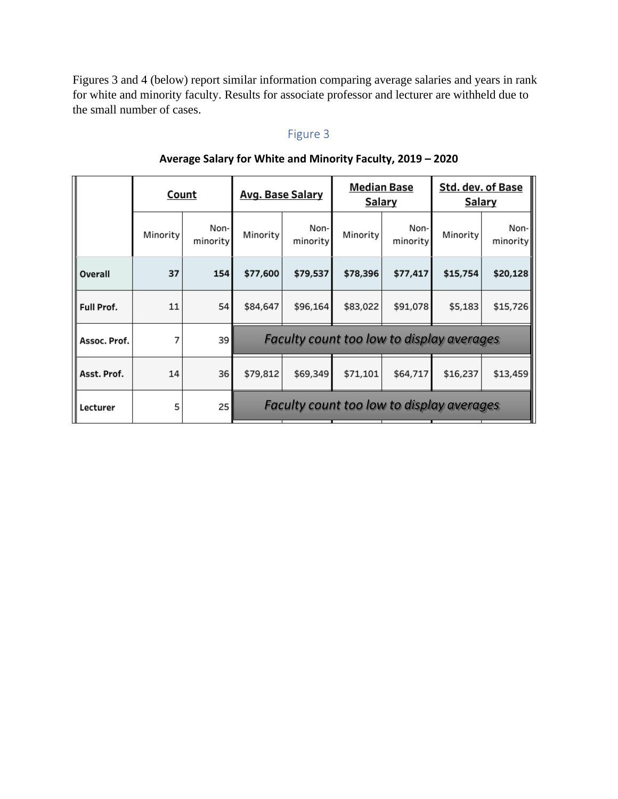Figures 3 and 4 (below) report similar information comparing average salaries and years in rank for white and minority faculty. Results for associate professor and lecturer are withheld due to the small number of cases.

# Figure 3

|              | Count    |                  | <b>Avg. Base Salary</b>                          |                  | <b>Median Base</b><br>Salary |                  | Std. dev. of Base<br><b>Salary</b> |                  |
|--------------|----------|------------------|--------------------------------------------------|------------------|------------------------------|------------------|------------------------------------|------------------|
|              | Minority | Non-<br>minority | Minority                                         | Non-<br>minority | Minority                     | Non-<br>minority | Minority                           | Non-<br>minority |
| Overall      | 37       | 154              | \$77,600                                         | \$79,537         | \$78,396                     | \$77,417         | \$15,754                           | \$20,128         |
| Full Prof.   | 11       | 54               | \$84,647                                         | \$96,164         | \$83,022                     | \$91,078         | \$5,183                            | \$15,726         |
| Assoc. Prof. | 7        | 39               | <b>Faculty count too low to display averages</b> |                  |                              |                  |                                    |                  |
| Asst. Prof.  | 14       | 36               | \$79,812                                         | \$69,349         | \$71,101                     | \$64,717         | \$16,237                           | \$13,459         |
| Lecturer     | 5        | 25               | <b>Faculty count too low to display averages</b> |                  |                              |                  |                                    |                  |

# **Average Salary for White and Minority Faculty, 2019 – 2020**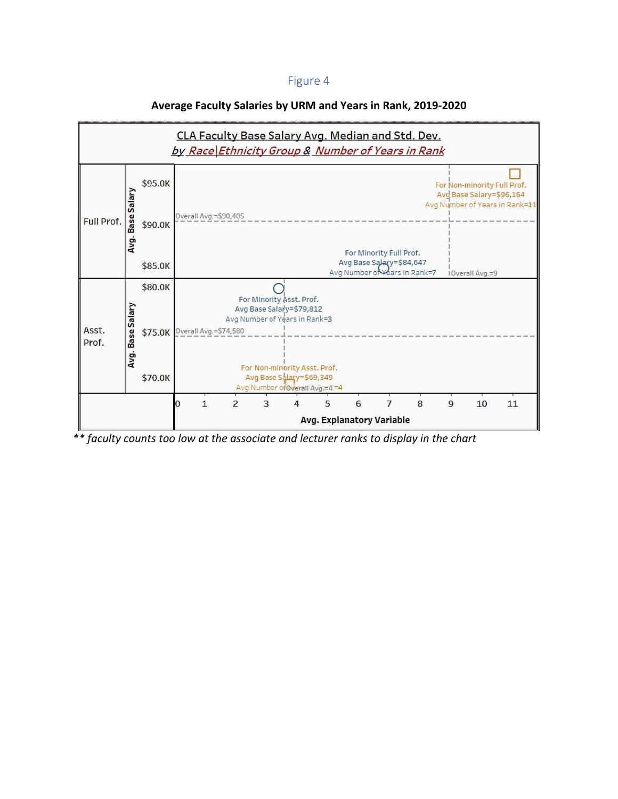#### Figure 4



#### **Average Faculty Salaries by URM and Years in Rank, 2019-2020**

*\*\* faculty counts too low at the associate and lecturer ranks to display in the chart*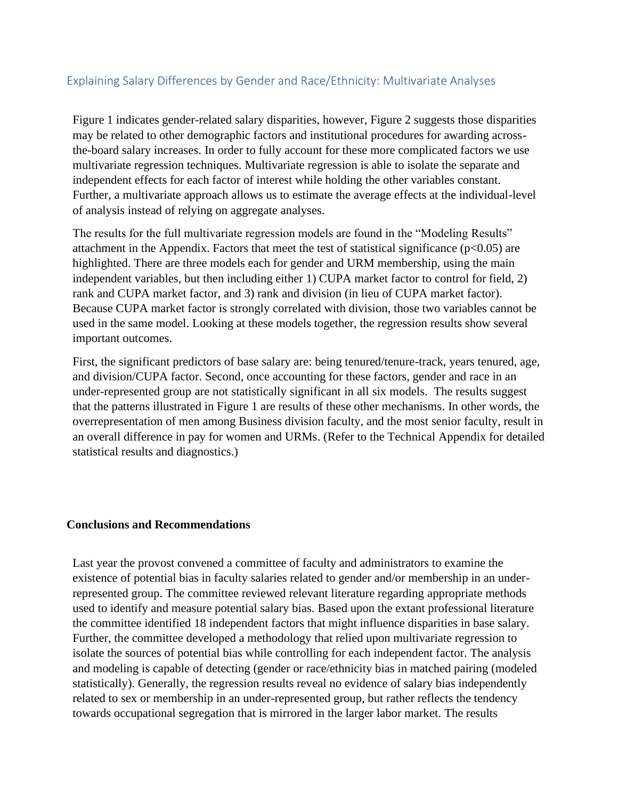## Explaining Salary Differences by Gender and Race/Ethnicity: Multivariate Analyses

Figure 1 indicates gender-related salary disparities, however, Figure 2 suggests those disparities may be related to other demographic factors and institutional procedures for awarding acrossthe-board salary increases. In order to fully account for these more complicated factors we use multivariate regression techniques. Multivariate regression is able to isolate the separate and independent effects for each factor of interest while holding the other variables constant. Further, a multivariate approach allows us to estimate the average effects at the individual-level of analysis instead of relying on aggregate analyses.

The results for the full multivariate regression models are found in the "Modeling Results" attachment in the Appendix. Factors that meet the test of statistical significance ( $p<0.05$ ) are highlighted. There are three models each for gender and URM membership, using the main independent variables, but then including either 1) CUPA market factor to control for field, 2) rank and CUPA market factor, and 3) rank and division (in lieu of CUPA market factor). Because CUPA market factor is strongly correlated with division, those two variables cannot be used in the same model. Looking at these models together, the regression results show several important outcomes.

First, the significant predictors of base salary are: being tenured/tenure-track, years tenured, age, and division/CUPA factor. Second, once accounting for these factors, gender and race in an under-represented group are not statistically significant in all six models. The results suggest that the patterns illustrated in Figure 1 are results of these other mechanisms. In other words, the overrepresentation of men among Business division faculty, and the most senior faculty, result in an overall difference in pay for women and URMs. (Refer to the Technical Appendix for detailed statistical results and diagnostics.)

#### **Conclusions and Recommendations**

Last year the provost convened a committee of faculty and administrators to examine the existence of potential bias in faculty salaries related to gender and/or membership in an underrepresented group. The committee reviewed relevant literature regarding appropriate methods used to identify and measure potential salary bias. Based upon the extant professional literature the committee identified 18 independent factors that might influence disparities in base salary. Further, the committee developed a methodology that relied upon multivariate regression to isolate the sources of potential bias while controlling for each independent factor. The analysis and modeling is capable of detecting (gender or race/ethnicity bias in matched pairing (modeled statistically). Generally, the regression results reveal no evidence of salary bias independently related to sex or membership in an under-represented group, but rather reflects the tendency towards occupational segregation that is mirrored in the larger labor market. The results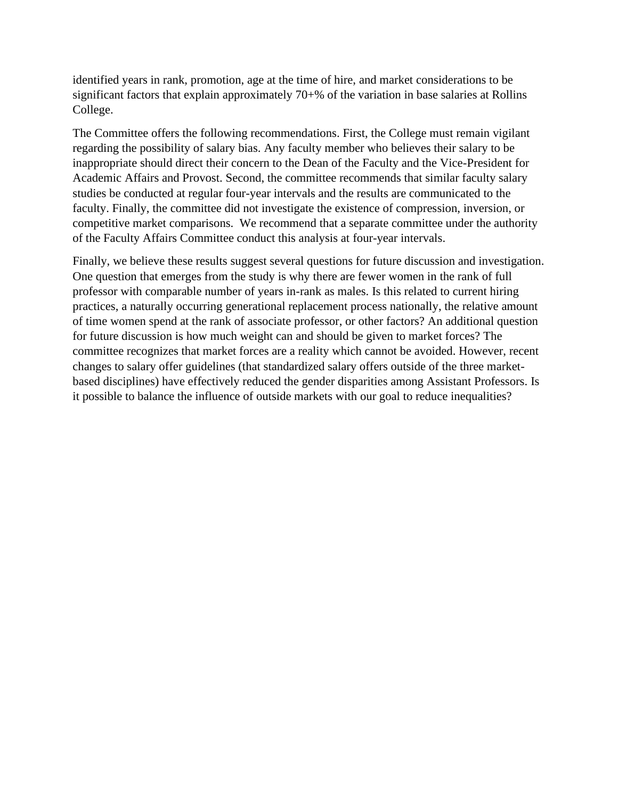identified years in rank, promotion, age at the time of hire, and market considerations to be significant factors that explain approximately 70+% of the variation in base salaries at Rollins College.

The Committee offers the following recommendations. First, the College must remain vigilant regarding the possibility of salary bias. Any faculty member who believes their salary to be inappropriate should direct their concern to the Dean of the Faculty and the Vice-President for Academic Affairs and Provost. Second, the committee recommends that similar faculty salary studies be conducted at regular four-year intervals and the results are communicated to the faculty. Finally, the committee did not investigate the existence of compression, inversion, or competitive market comparisons. We recommend that a separate committee under the authority of the Faculty Affairs Committee conduct this analysis at four-year intervals.

Finally, we believe these results suggest several questions for future discussion and investigation. One question that emerges from the study is why there are fewer women in the rank of full professor with comparable number of years in-rank as males. Is this related to current hiring practices, a naturally occurring generational replacement process nationally, the relative amount of time women spend at the rank of associate professor, or other factors? An additional question for future discussion is how much weight can and should be given to market forces? The committee recognizes that market forces are a reality which cannot be avoided. However, recent changes to salary offer guidelines (that standardized salary offers outside of the three marketbased disciplines) have effectively reduced the gender disparities among Assistant Professors. Is it possible to balance the influence of outside markets with our goal to reduce inequalities?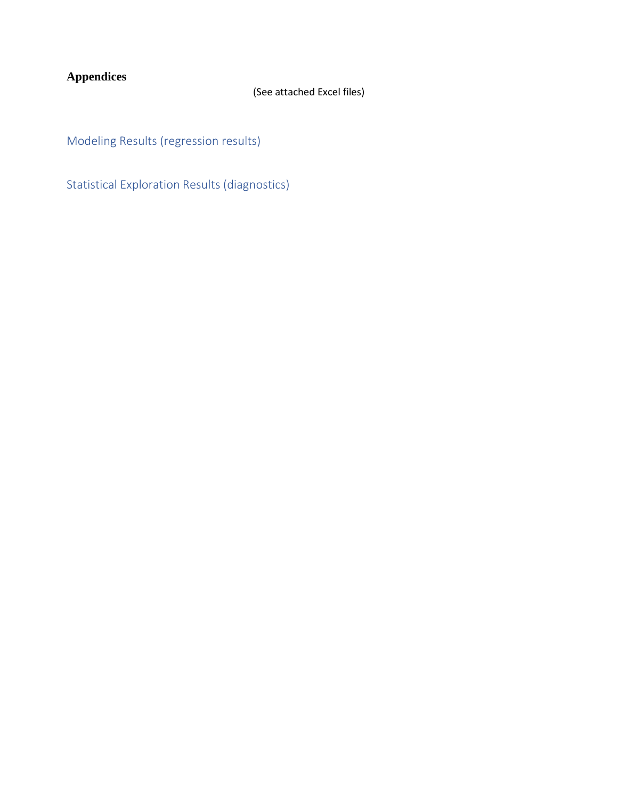# **Appendices**

# (See attached Excel files)

Modeling Results (regression results)

Statistical Exploration Results (diagnostics)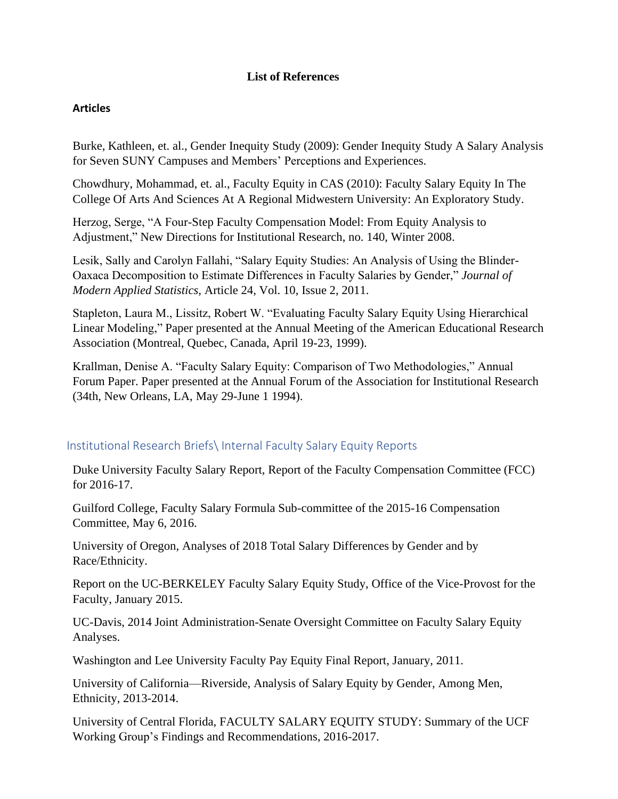## **List of References**

## **Articles**

Burke, Kathleen, et. al., Gender Inequity Study (2009): Gender Inequity Study A Salary Analysis for Seven SUNY Campuses and Members' Perceptions and Experiences.

Chowdhury, Mohammad, et. al., Faculty Equity in CAS (2010): Faculty Salary Equity In The College Of Arts And Sciences At A Regional Midwestern University: An Exploratory Study.

Herzog, Serge, "A Four-Step Faculty Compensation Model: From Equity Analysis to Adjustment," New Directions for Institutional Research, no. 140, Winter 2008.

Lesik, Sally and Carolyn Fallahi, "Salary Equity Studies: An Analysis of Using the Blinder-Oaxaca Decomposition to Estimate Differences in Faculty Salaries by Gender," *Journal of Modern Applied Statistics,* Article 24, Vol. 10, Issue 2, 2011.

Stapleton, Laura M., Lissitz, Robert W. "Evaluating Faculty Salary Equity Using Hierarchical Linear Modeling," Paper presented at the Annual Meeting of the American Educational Research Association (Montreal, Quebec, Canada, April 19-23, 1999).

Krallman, Denise A. "Faculty Salary Equity: Comparison of Two Methodologies," Annual Forum Paper. Paper presented at the Annual Forum of the Association for Institutional Research (34th, New Orleans, LA, May 29-June 1 1994).

## Institutional Research Briefs\ Internal Faculty Salary Equity Reports

Duke University Faculty Salary Report, Report of the Faculty Compensation Committee (FCC) for 2016-17.

Guilford College, Faculty Salary Formula Sub-committee of the 2015-16 Compensation Committee, May 6, 2016.

University of Oregon, Analyses of 2018 Total Salary Differences by Gender and by Race/Ethnicity.

Report on the UC-BERKELEY Faculty Salary Equity Study, Office of the Vice-Provost for the Faculty, January 2015.

UC-Davis, 2014 Joint Administration-Senate Oversight Committee on Faculty Salary Equity Analyses.

Washington and Lee University Faculty Pay Equity Final Report, January, 2011.

University of California—Riverside, Analysis of Salary Equity by Gender, Among Men, Ethnicity, 2013-2014.

University of Central Florida, FACULTY SALARY EQUITY STUDY: Summary of the UCF Working Group's Findings and Recommendations, 2016-2017.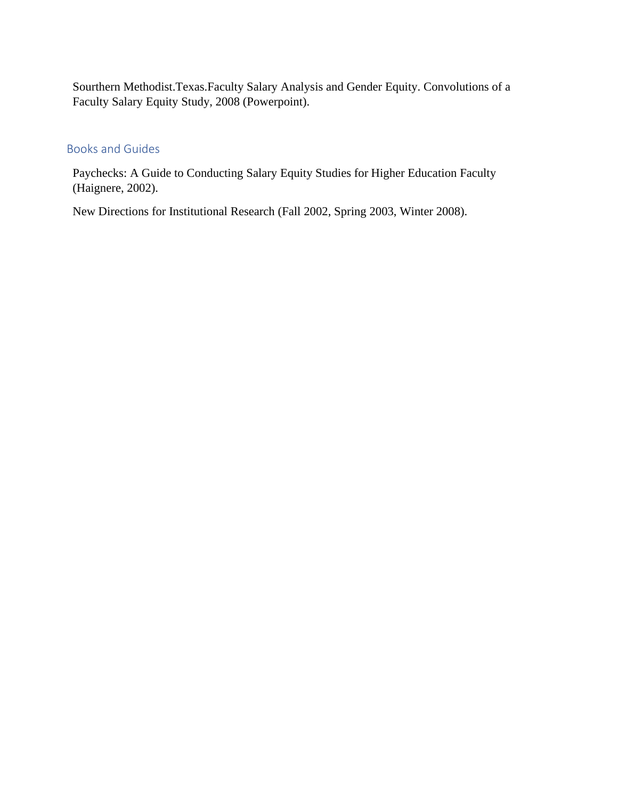Sourthern Methodist.Texas.Faculty Salary Analysis and Gender Equity. Convolutions of a Faculty Salary Equity Study, 2008 (Powerpoint).

## Books and Guides

Paychecks: A Guide to Conducting Salary Equity Studies for Higher Education Faculty (Haignere, 2002).

New Directions for Institutional Research (Fall 2002, Spring 2003, Winter 2008).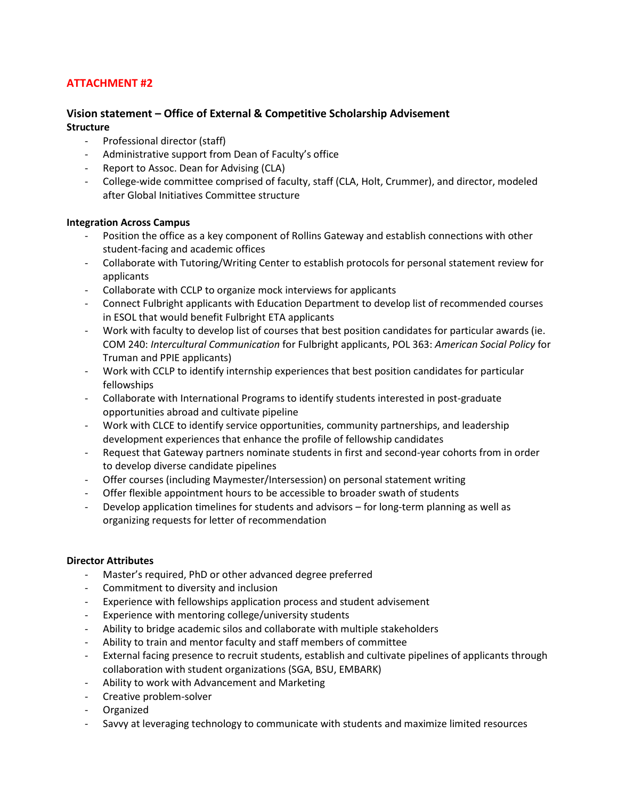## **ATTACHMENT #2**

## **Vision statement – Office of External & Competitive Scholarship Advisement Structure**

- Professional director (staff)
- Administrative support from Dean of Faculty's office
- Report to Assoc. Dean for Advising (CLA)
- College-wide committee comprised of faculty, staff (CLA, Holt, Crummer), and director, modeled after Global Initiatives Committee structure

#### **Integration Across Campus**

- Position the office as a key component of Rollins Gateway and establish connections with other student-facing and academic offices
- Collaborate with Tutoring/Writing Center to establish protocols for personal statement review for applicants
- Collaborate with CCLP to organize mock interviews for applicants
- Connect Fulbright applicants with Education Department to develop list of recommended courses in ESOL that would benefit Fulbright ETA applicants
- Work with faculty to develop list of courses that best position candidates for particular awards (ie. COM 240: *Intercultural Communication* for Fulbright applicants, POL 363: *American Social Policy* for Truman and PPIE applicants)
- Work with CCLP to identify internship experiences that best position candidates for particular fellowships
- Collaborate with International Programs to identify students interested in post-graduate opportunities abroad and cultivate pipeline
- Work with CLCE to identify service opportunities, community partnerships, and leadership development experiences that enhance the profile of fellowship candidates
- Request that Gateway partners nominate students in first and second-year cohorts from in order to develop diverse candidate pipelines
- Offer courses (including Maymester/Intersession) on personal statement writing
- Offer flexible appointment hours to be accessible to broader swath of students
- Develop application timelines for students and advisors for long-term planning as well as organizing requests for letter of recommendation

#### **Director Attributes**

- Master's required, PhD or other advanced degree preferred
- Commitment to diversity and inclusion
- Experience with fellowships application process and student advisement
- Experience with mentoring college/university students
- Ability to bridge academic silos and collaborate with multiple stakeholders
- Ability to train and mentor faculty and staff members of committee
- External facing presence to recruit students, establish and cultivate pipelines of applicants through collaboration with student organizations (SGA, BSU, EMBARK)
- Ability to work with Advancement and Marketing
- Creative problem-solver
- Organized
- Savvy at leveraging technology to communicate with students and maximize limited resources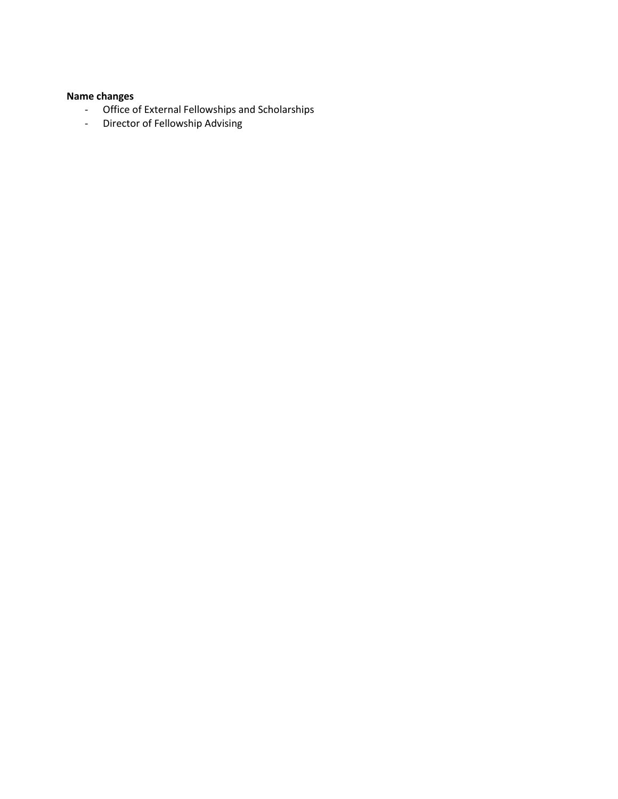## **Name changes**

- Office of External Fellowships and Scholarships
- Director of Fellowship Advising